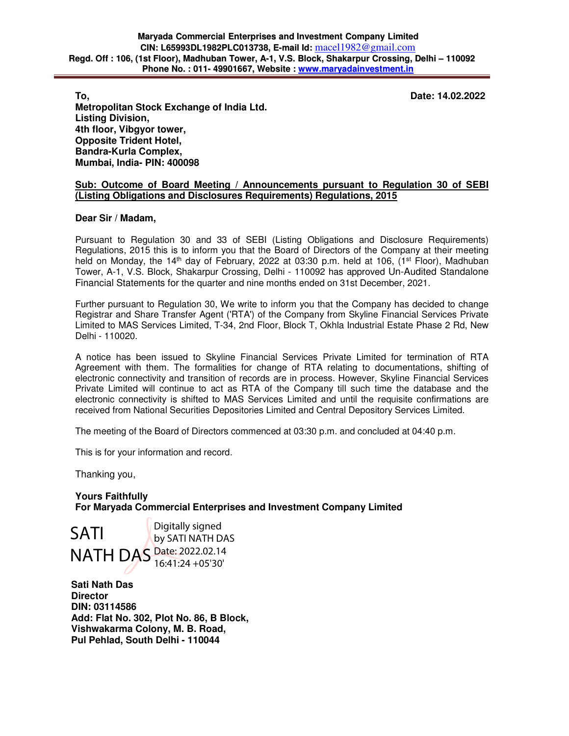**To, Date: 14.02.2022** 

**Metropolitan Stock Exchange of India Ltd. Listing Division, 4th floor, Vibgyor tower, Opposite Trident Hotel, Bandra-Kurla Complex, Mumbai, India- PIN: 400098** 

## **Sub: Outcome of Board Meeting / Announcements pursuant to Regulation 30 of SEBI (Listing Obligations and Disclosures Requirements) Regulations, 2015**

## **Dear Sir / Madam,**

Pursuant to Regulation 30 and 33 of SEBI (Listing Obligations and Disclosure Requirements) Regulations, 2015 this is to inform you that the Board of Directors of the Company at their meeting held on Monday, the 14<sup>th</sup> day of February, 2022 at 03:30 p.m. held at 106, (1<sup>st</sup> Floor), Madhuban Tower, A-1, V.S. Block, Shakarpur Crossing, Delhi - 110092 has approved Un-Audited Standalone Financial Statements for the quarter and nine months ended on 31st December, 2021.

Further pursuant to Regulation 30, We write to inform you that the Company has decided to change Registrar and Share Transfer Agent ('RTA') of the Company from Skyline Financial Services Private Limited to MAS Services Limited, T-34, 2nd Floor, Block T, Okhla Industrial Estate Phase 2 Rd, New Delhi - 110020.

A notice has been issued to Skyline Financial Services Private Limited for termination of RTA Agreement with them. The formalities for change of RTA relating to documentations, shifting of electronic connectivity and transition of records are in process. However, Skyline Financial Services Private Limited will continue to act as RTA of the Company till such time the database and the electronic connectivity is shifted to MAS Services Limited and until the requisite confirmations are received from National Securities Depositories Limited and Central Depository Services Limited.

The meeting of the Board of Directors commenced at 03:30 p.m. and concluded at 04:40 p.m.

This is for your information and record.

Thanking you,

**Yours Faithfully For Maryada Commercial Enterprises and Investment Company Limited** 

SATI NATH DAS Date: 2022.02.14 Digitally signed by SATI NATH DAS 16:41:24 +05'30'

**Sati Nath Das Director DIN: 03114586 Add: Flat No. 302, Plot No. 86, B Block, Vishwakarma Colony, M. B. Road, Pul Pehlad, South Delhi - 110044**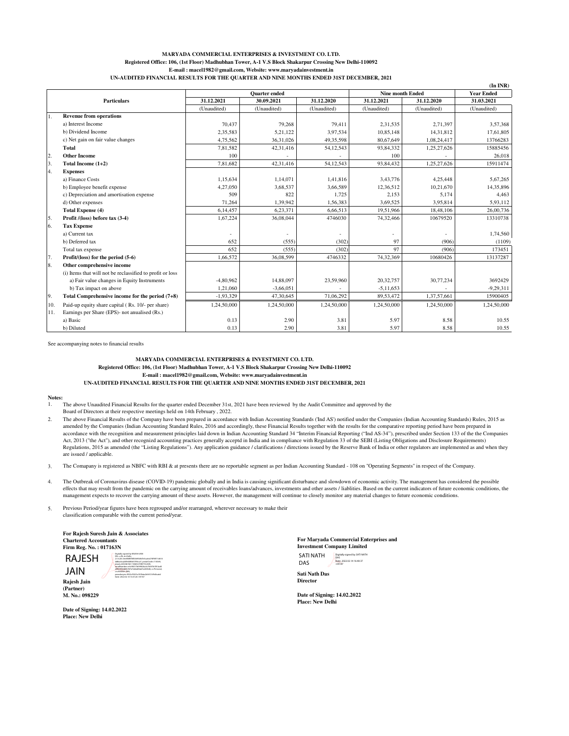### **MARYADA COMMERCIAL ENTERPRISES & INVESTMENT CO. LTD. Registered Office: 106, (1st Floor) Madhubhan Tower, A-1 V.S Block Shakarpur Crossing New Delhi-110092 E-mail : macel1982@gmail.com, Website: www.maryadainvestment.in UN-AUDITED FINANCIAL RESULTS FOR THE QUARTER AND NINE MONTHS ENDED 31ST DECEMBER, 2021**

|     |                                                           | <b>Quarter</b> ended |             |                | <b>Nine month Ended</b> |             | <b>Year Ended</b> |
|-----|-----------------------------------------------------------|----------------------|-------------|----------------|-------------------------|-------------|-------------------|
|     | <b>Particulars</b>                                        | 31.12.2021           | 30.09.2021  | 31.12.2020     | 31.12.2021              | 31.12.2020  | 31.03.2021        |
|     |                                                           | (Unaudited)          | (Unaudited) | (Unaudited)    | (Unaudited)             | (Unaudited) | (Unaudited)       |
| 1.  | <b>Revenue from operations</b>                            |                      |             |                |                         |             |                   |
|     | a) Interest Income                                        | 70.437               | 79,268      | 79.411         | 2.31.535                | 2,71,397    | 3,57,368          |
|     | b) Dividend Income                                        | 2,35,583             | 5,21,122    | 3,97,534       | 10,85,148               | 14,31,812   | 17,61,805         |
|     | c) Net gain on fair value changes                         | 4,75,562             | 36,31,026   | 49,35,598      | 80,67,649               | 1,08,24,417 | 13766283          |
|     | Total                                                     | 7,81,582             | 42,31,416   | 54,12,543      | 93,84,332               | 1,25,27,626 | 15885456          |
| 2.  | <b>Other Income</b>                                       | 100                  |             |                | 100                     |             | 26,018            |
| 3.  | Total Income $(1+2)$                                      | 7.81.682             | 42.31.416   | 54,12,543      | 93,84,432               | 1,25,27,626 | 15911474          |
| 4.  | <b>Expenses</b>                                           |                      |             |                |                         |             |                   |
|     | a) Finance Costs                                          | 1,15,634             | 1,14,071    | 1,41,816       | 3,43,776                | 4,25,448    | 5,67,265          |
|     | b) Employee benefit expense                               | 4,27,050             | 3,68,537    | 3,66,589       | 12,36,512               | 10,21,670   | 14,35,896         |
|     | c) Depreciation and amortisation expense                  | 509                  | 822         | 1,725          | 2,153                   | 5,174       | 4,463             |
|     | d) Other expenses                                         | 71,264               | 1,39,942    | 1,56,383       | 3,69,525                | 3,95,814    | 5,93,112          |
|     | <b>Total Expense (4)</b>                                  | 6,14,457             | 6,23,371    | 6,66,513       | 19,51,966               | 18,48,106   | 26,00,736         |
| 5.  | Profit /(loss) before tax (3-4)                           | 1,67,224             | 36,08,044   | 4746030        | 74,32,466               | 10679520    | 13310738          |
| 6.  | <b>Tax Expense</b>                                        |                      |             |                |                         |             |                   |
|     | a) Current tax                                            |                      |             | $\overline{a}$ |                         |             | 1,74,560          |
|     | b) Deferred tax                                           | 652                  | (555)       | (302)          | 97                      | (906)       | (1109)            |
|     | Total tax expense                                         | 652                  | (555)       | (302)          | 97                      | (906)       | 173451            |
| 17. | Profit/(loss) for the period (5-6)                        | 1,66,572             | 36,08,599   | 4746332        | 74,32,369               | 10680426    | 13137287          |
| 8.  | Other comprehensive income                                |                      |             |                |                         |             |                   |
|     | (i) Items that will not be reclassified to profit or loss |                      |             |                |                         |             |                   |
|     | a) Fair value changes in Equity Instruments               | -4,80,962            | 14,88,097   | 23,59,960      | 20,32,757               | 30,77,234   | 3692429           |
|     | b) Tax impact on above                                    | 1,21,060             | $-3,66,051$ |                | $-5,11,653$             |             | $-9,29,311$       |
| 9.  | Total Comprehensive income for the period $(7+8)$         | $-1,93,329$          | 47,30,645   | 71,06,292      | 89,53,472               | 1,37,57,661 | 15900405          |
| 10. | Paid-up equity share capital (Rs. 10/- per share)         | 1,24,50,000          | 1,24,50,000 | 1,24,50,000    | 1,24,50,000             | 1,24,50,000 | 1,24,50,000       |
| 11. | Earnings per Share (EPS)- not anualised (Rs.)             |                      |             |                |                         |             |                   |
|     | a) Basic                                                  | 0.13                 | 2.90        | 3.81           | 5.97                    | 8.58        | 10.55             |
|     | b) Diluted                                                | 0.13                 | 2.90        | 3.81           | 5.97                    | 8.58        | 10.55             |

**(In INR)**

See accompanying notes to financial results

### **MARYADA COMMERCIAL ENTERPRISES & INVESTMENT CO. LTD. Registered Office: 106, (1st Floor) Madhubhan Tower, A-1 V.S Block Shakarpur Crossing New Delhi-110092 E-mail : macel1982@gmail.com, Website: www.maryadainvestment.in**

**UN-AUDITED FINANCIAL RESULTS FOR THE QUARTER AND NINE MONTHS ENDED 31ST DECEMBER, 2021**

#### **Notes:**

1. The above Unaudited Financial Results for the quarter ended December 31st, 2021 have been reviewed by the Audit Committee and approved by the

Board of Directors at their respective meetings held on 14th February , 2022.

2.5.4.20=3ee838f3f4f00695bfd7e5ca6e274f90f11d614 dd8ac4ca2dfe4d83d3709cca7, postalCode=110069, street=HOUSE NO 7 AND 8 FIRST FLOOR, serialNumber=e4c90017b099026a3c70697b7813ad5 d992993dd3fc967a7ab6a84ab7a2634d6, o=Personal, cn=RAJESH JAIN, pseudonym=9532cf5201a767bba2b5457cf9d3ca6d Date: 2022.02.14 16:41:26 +05'30'

2. The above Financial Results of the Company have been prepared in accordance with Indian Accounting Standards ('Ind AS') notified under the Companies (Indian Accounting Standards) Rules, 2015 as amended by the Companies (Indian Accounting Standard Rules, 2016 and accordingly, these Financial Results together with the results for the comparative reporting period have been prepared in<br>accordance with the recognition Act, 2013 ("the Act"), and other recognizal accounting practices generally acceptd in India and in compliance with Regulation 33 of the SEBI (Listing Obligations and Disclosure Requirements) Regulations, 2015 as amended (the "Listing Regulations"). Any application guidance / clarifications / directions issued by the Reserve Bank of India or other regulators are implemented as and when they are issued / applicable.

3. The Comapany is registered as NBFC with RBI & at presents there are no reportable segment as per Indian Accounting Standard - 108 on "Operating Segments" in respect of the Company.

4. The Outbreak of Coronavirus disease (COVID-19) pandemic globally and in India is causing significant disturbance and slowdown of economic activity. The management has considered the possible effects that may result from the pandemic on the carrying amount of receivables loans/advances, investments and other assets / liablities. Based on the current indicators of future economic conditions, the management expects to recover the carrying amount of these assets. However, the management will continue to closely monitor any material changes to future economic conditions.

5. Previous Period/year figures have been regrouped and/or rearranged, wherever necessary to make their classification comparable with the current period/year.

**For Rajesh Suresh Jain & Associates Chartered Accountants Firm Reg. No. : 017163N** Digitally signed by RAJESH JAIN DN: c=IN, st=Delhi,

JAIN

**Rajesh Jain (Partner) M. No.: 098229**

**Place: New Delhi**

**Date of Signing: 14.02.2022**

**For Maryada Commercial Enterprises and Investment Company Limited** SATI NATH DAS Digitally signed by SATI NATH DAS RAJESH <del>Usuan diperakan kalendari dan kerama di sebagai dan kerama di sebagai dan sebagai dan sebagai dan sebagai dan sebagai dan sebagai dan sebagai dan sebagai dan sebagai dan sebagai dan sebagai dan sebagai dan sebagai </del>

| <b>Sati Nath Das</b> |  |
|----------------------|--|
| <b>Director</b>      |  |

**Date of Signing: 14.02.2022 Place: New Delhi**